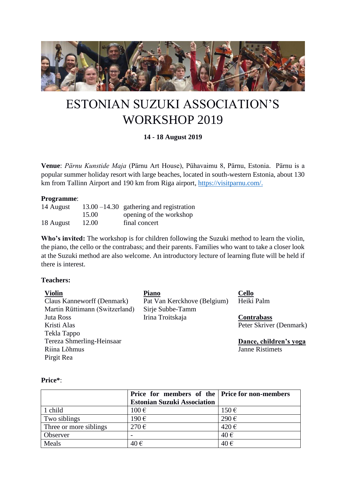

# ESTONIAN SUZUKI ASSOCIATION'S WORKSHOP 2019

## **14 - 18 August 2019**

**Venue**: *Pärnu Kunstide Maja* (Pärnu Art House), Pühavaimu 8, Pärnu, Estonia. Pärnu is a popular summer holiday resort with large beaches, located in south-western Estonia, about 130 km from Tallinn Airport and 190 km from Riga airport, [https://visitparnu.com/.](https://visitparnu.com/)

#### **Programme**:

| 14 August |       | $13.00 - 14.30$ gathering and registration |
|-----------|-------|--------------------------------------------|
|           | 15.00 | opening of the workshop                    |
| 18 August | 12.00 | final concert                              |

**Who's invited:** The workshop is for children following the Suzuki method to learn the violin, the piano, the cello or the contrabass; and their parents. Families who want to take a closer look at the Suzuki method are also welcome. An introductory lecture of learning flute will be held if there is interest.

#### **Teachers:**

| <b>Violin</b>                  | <b>Piano</b>                | <b>Cello</b>            |
|--------------------------------|-----------------------------|-------------------------|
| Claus Kanneworff (Denmark)     | Pat Van Kerckhove (Belgium) | Heiki Palm              |
| Martin Rüttimann (Switzerland) | Sirje Subbe-Tamm            |                         |
| Juta Ross                      | Irina Troitskaja            | <b>Contrabass</b>       |
| Kristi Alas                    |                             | Peter Skriver (Denmark) |
| Tekla Tappo                    |                             |                         |
| Tereza Shmerling-Heinsaar      |                             | Dance, children's yoga  |
| Riina Lõhmus                   |                             | <b>Janne Ristimets</b>  |

#### **Price\***:

Pirgit Rea

|                        | Price for members of the Price for non-members |                    |
|------------------------|------------------------------------------------|--------------------|
|                        | <b>Estonian Suzuki Association</b>             |                    |
| 1 child                | $100 \text{ } \in$                             | $150 \,\mathrm{E}$ |
| Two siblings           | 190€                                           | $290 \text{ } \in$ |
| Three or more siblings | $270 \text{ } \in$                             | $420 \,\mathrm{E}$ |
| Observer               |                                                | $40 \in$           |
| Meals                  | 40€                                            | 40€                |